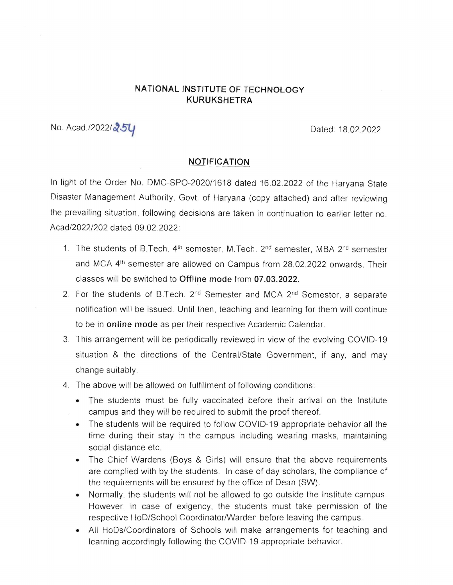## **NATIONAL INSTITUTE OF TECHNOLOGY KURUKSHETRA**

No. Acad./2022/ $251$ 

## **NOTIFICATION**

In light of the Order No. DMC-SPO-2020/1618 dated 16.02.2022 of the Haryana State Disaster Management Authority, Govt. of Haryana (copy attached) and after reviewing the prevailing situation, following decisions are taken in continuation to earlier letter no. Acad/2022/202 dated 09 02.2022:

- 1. The students of B.Tech. 4<sup>th</sup> semester, M.Tech. 2<sup>nd</sup> semester, MBA 2<sup>nd</sup> semester and MCA 4th semester are allowed on Campus from 28.02.2022 onwards. Their classes will be switched to **Offline mode** from **07.03.2022.**
- 2. For the students of B.Tech. 2<sup>nd</sup> Semester and MCA 2<sup>nd</sup> Semester, a separate notification will be issued. Until then, teaching and learning for them will continue to be in **online mode** as per their respective Academic Calendar.
- 3. This arrangement will be periodically reviewed in view of the evolving COVID-19 situation & the directions of the Central/State Government, if any, and may change suitably.
- 4. The above will be allowed on fulfillment of following conditions:
	- The students must be fully vaccinated before their arrival on the Institute campus and they will be required to submit the proof thereof.
	- The students will be required to follow COVID-19 appropriate behavior all the time during their stay in the campus including wearing masks, maintaining social distance etc.
	- The Chief Wardens (Boys & Girls) will ensure that the above requirements are complied with by the students. In case of day scholars, the compliance of the requirements will be ensured by the office of Dean (SW).
	- Normally, the students will not be allowed to go outside the Institute campus. However, in case of exigency, the students must take permission of the respective HoD/School Coordinator/Warden before leaving the campus.
	- All HoDs/Coordinators of Schools will make arrangements for teaching and learning accordingly following the COVID-19 appropriate behavior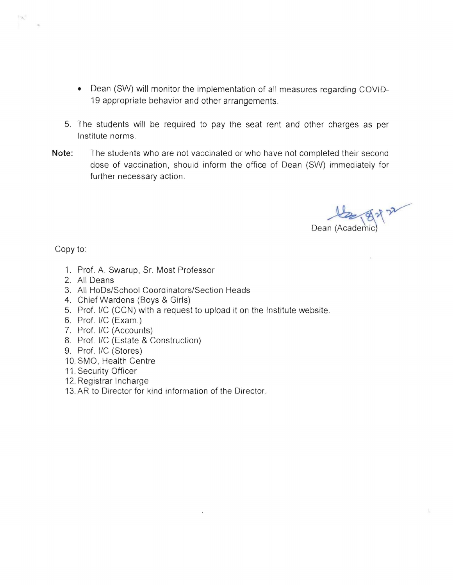- Dean (SW) will monitor the implementation of all measures regarding COVID-19 appropriate behavior and other arrangements.
- 5. The students will be required to pay the seat rent and other charges as per Institute norms
- **Note:** The students who are not vaccinated or who have not completed their second dose of vaccination, should inform the office of Dean (SW) immediately for further necessary action.

Dean (Academic)

Copy to

- 1. Prof. A. Swarup, Sr. Most Professor
- 2. All Deans
- 3. All HoDs/School Coordinators/Section Heads
- 4. Chief Wardens (Boys & Girls)
- 5. Prof. I/C (CCN) with a request to upload it on the Institute website.

 $\bar{\mathbf{z}}$ 

- 6. Prof. I/C (Exam.)
- 7. Prof. I/C (Accounts)
- 8. Prof. I/C (Estate & Construction)
- 9. Prof. I/C (Stores)
- 10. SMO, Health Centre
- 11. Security Officer
- 12. Registrar Incharge
- 13. AR to Director for kind information of the Director.